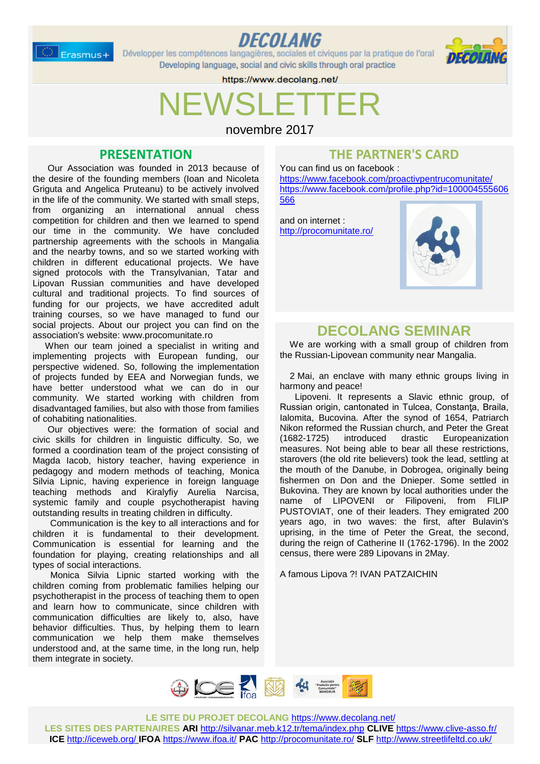$\geq$  Erasmus+



Développer les compétences langagières, sociales et civiques par la pratique de l'oral Developing language, social and civic skills through oral practice



https://www.decolang.net/

# NEWSLETTER

novembre 2017

### **PRESENTATION**

 Our Association was founded in 2013 because of the desire of the founding members (Ioan and Nicoleta Griguta and Angelica Pruteanu) to be actively involved in the life of the community. We started with small steps, from organizing an international annual chess competition for children and then we learned to spend our time in the community. We have concluded partnership agreements with the schools in Mangalia and the nearby towns, and so we started working with children in different educational projects. We have signed protocols with the Transylvanian, Tatar and Lipovan Russian communities and have developed cultural and traditional projects. To find sources of funding for our projects, we have accredited adult training courses, so we have managed to fund our social projects. About our project you can find on the association's website: www.procomunitate.ro

 When our team joined a specialist in writing and implementing projects with European funding, our perspective widened. So, following the implementation of projects funded by EEA and Norwegian funds, we have better understood what we can do in our community. We started working with children from disadvantaged families, but also with those from families of cohabiting nationalities.

 Our objectives were: the formation of social and civic skills for children in linguistic difficulty. So, we formed a coordination team of the project consisting of Magda Iacob, history teacher, having experience in pedagogy and modern methods of teaching, Monica Silvia Lipnic, having experience in foreign language teaching methods and Kiralyfiy Aurelia Narcisa, systemic family and couple psychotherapist having outstanding results in treating children in difficulty.

 Communication is the key to all interactions and for children it is fundamental to their development. Communication is essential for learning and the foundation for playing, creating relationships and all types of social interactions.

 Monica Silvia Lipnic started working with the children coming from problematic families helping our psychotherapist in the process of teaching them to open and learn how to communicate, since children with communication difficulties are likely to, also, have behavior difficulties. Thus, by helping them to learn communication we help them make themselves understood and, at the same time, in the long run, help them integrate in society.

### **THE PARTNER'S CARD**

You can find us on facebook : <https://www.facebook.com/proactivpentrucomunitate/> [https://www.facebook.com/profile.php?id=100004555606](https://www.facebook.com/profile.php?id=100004555606566) [566](https://www.facebook.com/profile.php?id=100004555606566)

and on internet : <http://procomunitate.ro/>



### **DECOLANG SEMINAR**

 We are working with a small group of children from the Russian-Lipovean community near Mangalia.

2 Mai, an enclave with many ethnic groups living in harmony and peace!

Lipoveni. It represents a Slavic ethnic group, of Russian origin, cantonated in Tulcea, Constanţa, Braila, Ialomita, Bucovina. After the synod of 1654, Patriarch Nikon reformed the Russian church, and Peter the Great (1682-1725) introduced drastic Europeanization measures. Not being able to bear all these restrictions, starovers (the old rite believers) took the lead, settling at the mouth of the Danube, in Dobrogea, originally being fishermen on Don and the Dnieper. Some settled in Bukovina. They are known by local authorities under the name of LIPOVENI or Filipoveni, from FILIP PUSTOVIAT, one of their leaders. They emigrated 200 years ago, in two waves: the first, after Bulavin's uprising, in the time of Peter the Great, the second, during the reign of Catherine II (1762-1796). In the 2002 census, there were 289 Lipovans in 2May.

A famous Lipova ?! IVAN PATZAICHIN



**LE SITE DU PROJET DECOLANG** <https://www.decolang.net/>

**LES SITES DES PARTENAIRES ARI** <http://silvanar.meb.k12.tr/tema/index.php> **CLIVE** <https://www.clive-asso.fr/> **ICE** <http://iceweb.org/> **IFOA** <https://www.ifoa.it/> **PAC** <http://procomunitate.ro/> **SLF** <http://www.streetlifeltd.co.uk/>